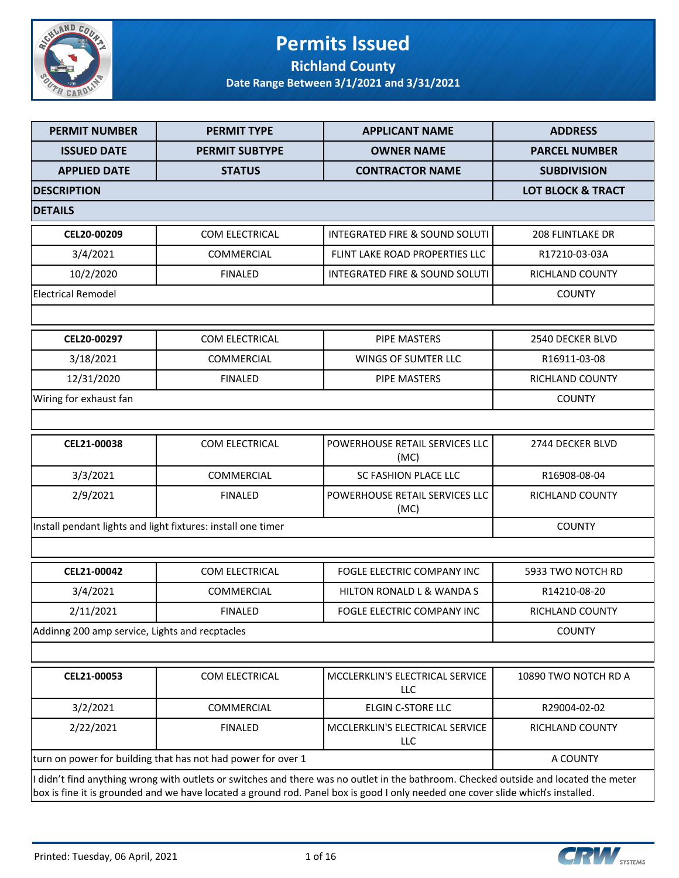

### **Permits Issued Richland County**

| <b>PERMIT NUMBER</b>                           | <b>PERMIT TYPE</b>                                           | <b>APPLICANT NAME</b>                                                                                                                                                                                                                                                   | <b>ADDRESS</b>               |
|------------------------------------------------|--------------------------------------------------------------|-------------------------------------------------------------------------------------------------------------------------------------------------------------------------------------------------------------------------------------------------------------------------|------------------------------|
| <b>ISSUED DATE</b>                             | <b>PERMIT SUBTYPE</b>                                        | <b>OWNER NAME</b>                                                                                                                                                                                                                                                       | <b>PARCEL NUMBER</b>         |
| <b>APPLIED DATE</b>                            | <b>STATUS</b>                                                | <b>CONTRACTOR NAME</b>                                                                                                                                                                                                                                                  | <b>SUBDIVISION</b>           |
| <b>DESCRIPTION</b>                             |                                                              |                                                                                                                                                                                                                                                                         | <b>LOT BLOCK &amp; TRACT</b> |
| <b>DETAILS</b>                                 |                                                              |                                                                                                                                                                                                                                                                         |                              |
| CEL20-00209                                    | COM ELECTRICAL                                               | <b>INTEGRATED FIRE &amp; SOUND SOLUTI</b>                                                                                                                                                                                                                               | <b>208 FLINTLAKE DR</b>      |
| 3/4/2021                                       | <b>COMMERCIAL</b>                                            | FLINT LAKE ROAD PROPERTIES LLC                                                                                                                                                                                                                                          | R17210-03-03A                |
| 10/2/2020                                      | <b>FINALED</b>                                               | <b>INTEGRATED FIRE &amp; SOUND SOLUTI</b>                                                                                                                                                                                                                               | RICHLAND COUNTY              |
| <b>Electrical Remodel</b>                      |                                                              |                                                                                                                                                                                                                                                                         | <b>COUNTY</b>                |
|                                                |                                                              |                                                                                                                                                                                                                                                                         |                              |
| CEL20-00297                                    | COM ELECTRICAL                                               | <b>PIPE MASTERS</b>                                                                                                                                                                                                                                                     | 2540 DECKER BLVD             |
| 3/18/2021                                      | <b>COMMERCIAL</b>                                            | WINGS OF SUMTER LLC                                                                                                                                                                                                                                                     | R16911-03-08                 |
| 12/31/2020                                     | <b>FINALED</b>                                               | <b>PIPE MASTERS</b>                                                                                                                                                                                                                                                     | RICHLAND COUNTY              |
| Wiring for exhaust fan                         |                                                              |                                                                                                                                                                                                                                                                         | <b>COUNTY</b>                |
|                                                |                                                              |                                                                                                                                                                                                                                                                         |                              |
| CEL21-00038                                    | COM ELECTRICAL                                               | POWERHOUSE RETAIL SERVICES LLC<br>(MC)                                                                                                                                                                                                                                  | 2744 DECKER BLVD             |
| 3/3/2021                                       | <b>COMMERCIAL</b>                                            | SC FASHION PLACE LLC                                                                                                                                                                                                                                                    | R16908-08-04                 |
| 2/9/2021                                       | <b>FINALED</b>                                               | POWERHOUSE RETAIL SERVICES LLC<br>(MC)                                                                                                                                                                                                                                  | RICHLAND COUNTY              |
|                                                | Install pendant lights and light fixtures: install one timer |                                                                                                                                                                                                                                                                         | <b>COUNTY</b>                |
|                                                |                                                              |                                                                                                                                                                                                                                                                         |                              |
| CEL21-00042                                    | <b>COM ELECTRICAL</b>                                        | FOGLE ELECTRIC COMPANY INC                                                                                                                                                                                                                                              | 5933 TWO NOTCH RD            |
| 3/4/2021                                       | COMMERCIAL                                                   | HILTON RONALD L & WANDA S                                                                                                                                                                                                                                               | R14210-08-20                 |
| 2/11/2021                                      | <b>FINALED</b>                                               | FOGLE ELECTRIC COMPANY INC                                                                                                                                                                                                                                              | RICHLAND COUNTY              |
| Addinng 200 amp service, Lights and recptacles |                                                              |                                                                                                                                                                                                                                                                         | <b>COUNTY</b>                |
|                                                |                                                              |                                                                                                                                                                                                                                                                         |                              |
| CEL21-00053                                    | COM ELECTRICAL                                               | MCCLERKLIN'S ELECTRICAL SERVICE<br>LLC                                                                                                                                                                                                                                  | 10890 TWO NOTCH RD A         |
| 3/2/2021                                       | COMMERCIAL                                                   | ELGIN C-STORE LLC                                                                                                                                                                                                                                                       | R29004-02-02                 |
| 2/22/2021                                      | <b>FINALED</b>                                               | MCCLERKLIN'S ELECTRICAL SERVICE<br>LLC                                                                                                                                                                                                                                  | RICHLAND COUNTY              |
|                                                | turn on power for building that has not had power for over 1 |                                                                                                                                                                                                                                                                         | A COUNTY                     |
|                                                |                                                              | I didn't find anything wrong with outlets or switches and there was no outlet in the bathroom. Checked outside and located the meter<br>box is fine it is grounded and we have located a ground rod. Panel box is good I only needed one cover slide which's installed. |                              |

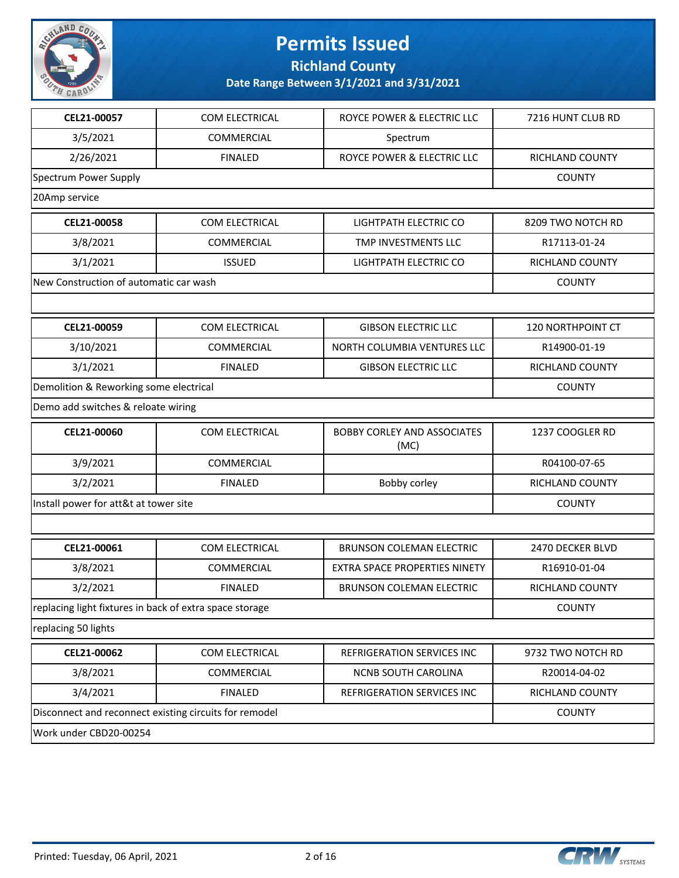

**Richland County**

| CEL21-00057                                             | COM ELECTRICAL | ROYCE POWER & ELECTRIC LLC                 | 7216 HUNT CLUB RD      |
|---------------------------------------------------------|----------------|--------------------------------------------|------------------------|
| 3/5/2021                                                | COMMERCIAL     | Spectrum                                   |                        |
| 2/26/2021                                               | <b>FINALED</b> | ROYCE POWER & ELECTRIC LLC                 | RICHLAND COUNTY        |
| Spectrum Power Supply                                   |                |                                            | <b>COUNTY</b>          |
| 20Amp service                                           |                |                                            |                        |
| CEL21-00058                                             | COM ELECTRICAL | LIGHTPATH ELECTRIC CO                      | 8209 TWO NOTCH RD      |
| 3/8/2021                                                | COMMERCIAL     | TMP INVESTMENTS LLC                        | R17113-01-24           |
| 3/1/2021                                                | <b>ISSUED</b>  | LIGHTPATH ELECTRIC CO                      | RICHLAND COUNTY        |
| New Construction of automatic car wash                  |                |                                            | <b>COUNTY</b>          |
|                                                         |                |                                            |                        |
| CEL21-00059                                             | COM ELECTRICAL | <b>GIBSON ELECTRIC LLC</b>                 | 120 NORTHPOINT CT      |
| 3/10/2021                                               | COMMERCIAL     | NORTH COLUMBIA VENTURES LLC                | R14900-01-19           |
| 3/1/2021                                                | <b>FINALED</b> | <b>GIBSON ELECTRIC LLC</b>                 | <b>RICHLAND COUNTY</b> |
| Demolition & Reworking some electrical                  |                |                                            | <b>COUNTY</b>          |
| Demo add switches & reloate wiring                      |                |                                            |                        |
| CEL21-00060                                             | COM ELECTRICAL | <b>BOBBY CORLEY AND ASSOCIATES</b><br>(MC) | 1237 COOGLER RD        |
| 3/9/2021                                                | COMMERCIAL     |                                            | R04100-07-65           |
| 3/2/2021                                                | <b>FINALED</b> | Bobby corley                               | RICHLAND COUNTY        |
| Install power for att&t at tower site                   |                |                                            | <b>COUNTY</b>          |
|                                                         |                |                                            |                        |
| CEL21-00061                                             | COM ELECTRICAL | <b>BRUNSON COLEMAN ELECTRIC</b>            | 2470 DECKER BLVD       |
| 3/8/2021                                                | COMMERCIAL     | EXTRA SPACE PROPERTIES NINETY              | R16910-01-04           |
| 3/2/2021                                                | <b>FINALED</b> | <b>BRUNSON COLEMAN ELECTRIC</b>            | RICHLAND COUNTY        |
| replacing light fixtures in back of extra space storage |                |                                            | <b>COUNTY</b>          |
| replacing 50 lights                                     |                |                                            |                        |
| CEL21-00062                                             | COM ELECTRICAL | REFRIGERATION SERVICES INC                 | 9732 TWO NOTCH RD      |
| 3/8/2021                                                | COMMERCIAL     | NCNB SOUTH CAROLINA                        | R20014-04-02           |
| 3/4/2021                                                | <b>FINALED</b> | REFRIGERATION SERVICES INC                 | RICHLAND COUNTY        |
| Disconnect and reconnect existing circuits for remodel  |                |                                            | <b>COUNTY</b>          |
| Work under CBD20-00254                                  |                |                                            |                        |

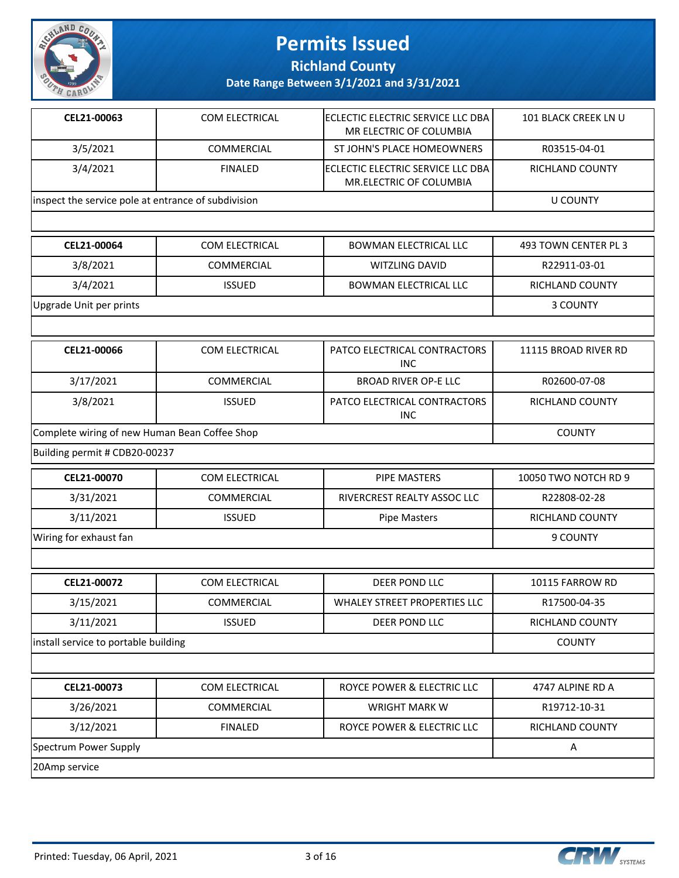

**Richland County**

| CEL21-00063                                         | COM ELECTRICAL    | ECLECTIC ELECTRIC SERVICE LLC DBA<br>MR ELECTRIC OF COLUMBIA | 101 BLACK CREEK LN U |
|-----------------------------------------------------|-------------------|--------------------------------------------------------------|----------------------|
| 3/5/2021                                            | COMMERCIAL        | ST JOHN'S PLACE HOMEOWNERS                                   | R03515-04-01         |
| 3/4/2021                                            | <b>FINALED</b>    | ECLECTIC ELECTRIC SERVICE LLC DBA<br>MR.ELECTRIC OF COLUMBIA | RICHLAND COUNTY      |
| inspect the service pole at entrance of subdivision |                   |                                                              | <b>U COUNTY</b>      |
|                                                     |                   |                                                              |                      |
| CEL21-00064                                         | COM ELECTRICAL    | <b>BOWMAN ELECTRICAL LLC</b>                                 | 493 TOWN CENTER PL 3 |
| 3/8/2021                                            | COMMERCIAL        | WITZLING DAVID                                               | R22911-03-01         |
| 3/4/2021                                            | <b>ISSUED</b>     | <b>BOWMAN ELECTRICAL LLC</b>                                 | RICHLAND COUNTY      |
| Upgrade Unit per prints                             |                   |                                                              | 3 COUNTY             |
|                                                     |                   |                                                              |                      |
| CEL21-00066                                         | COM ELECTRICAL    | PATCO ELECTRICAL CONTRACTORS<br><b>INC</b>                   | 11115 BROAD RIVER RD |
| 3/17/2021                                           | COMMERCIAL        | <b>BROAD RIVER OP-E LLC</b>                                  | R02600-07-08         |
| 3/8/2021                                            | <b>ISSUED</b>     | PATCO ELECTRICAL CONTRACTORS<br><b>INC</b>                   | RICHLAND COUNTY      |
| Complete wiring of new Human Bean Coffee Shop       |                   |                                                              | <b>COUNTY</b>        |
| Building permit # CDB20-00237                       |                   |                                                              |                      |
| CEL21-00070                                         | COM ELECTRICAL    | <b>PIPE MASTERS</b>                                          | 10050 TWO NOTCH RD 9 |
| 3/31/2021                                           | COMMERCIAL        | RIVERCREST REALTY ASSOC LLC                                  | R22808-02-28         |
| 3/11/2021                                           | <b>ISSUED</b>     | <b>Pipe Masters</b>                                          | RICHLAND COUNTY      |
| Wiring for exhaust fan                              |                   |                                                              | 9 COUNTY             |
|                                                     |                   |                                                              |                      |
| CEL21-00072                                         | COM ELECTRICAL    | <b>DEER POND LLC</b>                                         | 10115 FARROW RD      |
| 3/15/2021                                           | <b>COMMERCIAL</b> | WHALEY STREET PROPERTIES LLC                                 | R17500-04-35         |
| 3/11/2021                                           | <b>ISSUED</b>     | DEER POND LLC                                                | RICHLAND COUNTY      |
| install service to portable building                |                   |                                                              | <b>COUNTY</b>        |
|                                                     |                   |                                                              |                      |
| CEL21-00073                                         | COM ELECTRICAL    | ROYCE POWER & ELECTRIC LLC                                   | 4747 ALPINE RD A     |
| 3/26/2021                                           | COMMERCIAL        | <b>WRIGHT MARK W</b>                                         | R19712-10-31         |
| 3/12/2021                                           | <b>FINALED</b>    | ROYCE POWER & ELECTRIC LLC                                   | RICHLAND COUNTY      |
| Spectrum Power Supply                               |                   |                                                              | A                    |
| 20Amp service                                       |                   |                                                              |                      |

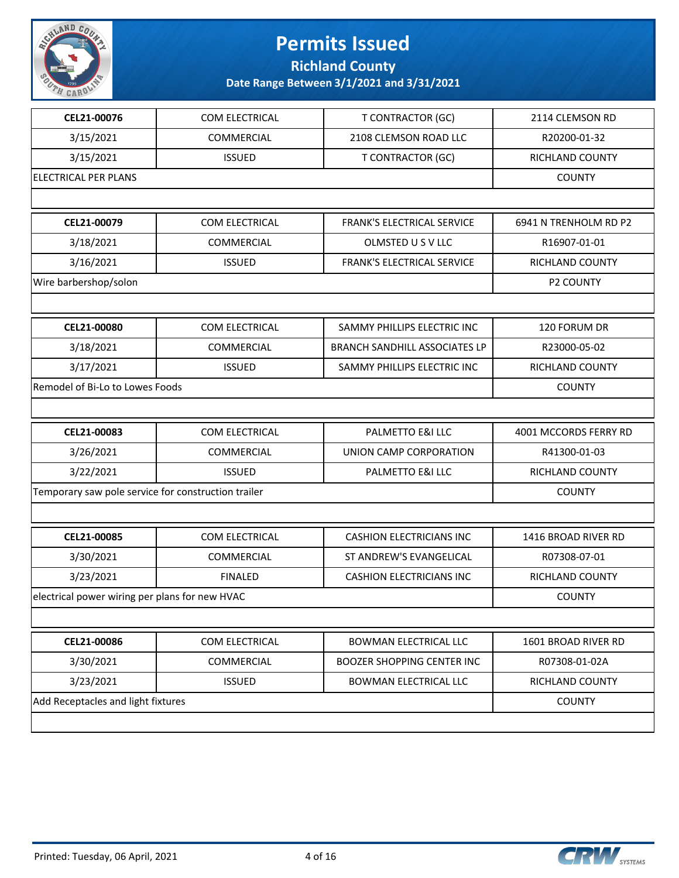

**Richland County**

| CEL21-00076                                         | COM ELECTRICAL    | <b>T CONTRACTOR (GC)</b>             | 2114 CLEMSON RD       |
|-----------------------------------------------------|-------------------|--------------------------------------|-----------------------|
| 3/15/2021                                           | <b>COMMERCIAL</b> | 2108 CLEMSON ROAD LLC                | R20200-01-32          |
| 3/15/2021                                           | <b>ISSUED</b>     | <b>T CONTRACTOR (GC)</b>             | RICHLAND COUNTY       |
| <b>ELECTRICAL PER PLANS</b>                         |                   |                                      | <b>COUNTY</b>         |
|                                                     |                   |                                      |                       |
| CEL21-00079                                         | COM ELECTRICAL    | FRANK'S ELECTRICAL SERVICE           | 6941 N TRENHOLM RD P2 |
| 3/18/2021                                           | COMMERCIAL        | OLMSTED U S V LLC                    | R16907-01-01          |
| 3/16/2021                                           | <b>ISSUED</b>     | FRANK'S ELECTRICAL SERVICE           | RICHLAND COUNTY       |
| Wire barbershop/solon                               |                   |                                      | <b>P2 COUNTY</b>      |
|                                                     |                   |                                      |                       |
| CEL21-00080                                         | COM ELECTRICAL    | SAMMY PHILLIPS ELECTRIC INC          | 120 FORUM DR          |
| 3/18/2021                                           | COMMERCIAL        | <b>BRANCH SANDHILL ASSOCIATES LP</b> | R23000-05-02          |
| 3/17/2021                                           | <b>ISSUED</b>     | SAMMY PHILLIPS ELECTRIC INC          | RICHLAND COUNTY       |
| Remodel of Bi-Lo to Lowes Foods                     |                   |                                      | <b>COUNTY</b>         |
|                                                     |                   |                                      |                       |
| CEL21-00083                                         | COM ELECTRICAL    | PALMETTO E&I LLC                     | 4001 MCCORDS FERRY RD |
|                                                     |                   |                                      |                       |
| 3/26/2021                                           | <b>COMMERCIAL</b> | UNION CAMP CORPORATION               | R41300-01-03          |
| 3/22/2021                                           | <b>ISSUED</b>     | PALMETTO E&I LLC                     | RICHLAND COUNTY       |
| Temporary saw pole service for construction trailer |                   |                                      | <b>COUNTY</b>         |
|                                                     |                   |                                      |                       |
| CEL21-00085                                         | COM ELECTRICAL    | <b>CASHION ELECTRICIANS INC</b>      | 1416 BROAD RIVER RD   |
| 3/30/2021                                           | COMMERCIAL        | ST ANDREW'S EVANGELICAL              | R07308-07-01          |
| 3/23/2021                                           | <b>FINALED</b>    | <b>CASHION ELECTRICIANS INC</b>      | RICHLAND COUNTY       |
| electrical power wiring per plans for new HVAC      |                   |                                      | <b>COUNTY</b>         |
|                                                     |                   |                                      |                       |
| CEL21-00086                                         | COM ELECTRICAL    | BOWMAN ELECTRICAL LLC                | 1601 BROAD RIVER RD   |
| 3/30/2021                                           | COMMERCIAL        | <b>BOOZER SHOPPING CENTER INC</b>    | R07308-01-02A         |
| 3/23/2021                                           | <b>ISSUED</b>     | BOWMAN ELECTRICAL LLC                | RICHLAND COUNTY       |
| Add Receptacles and light fixtures                  |                   |                                      | <b>COUNTY</b>         |

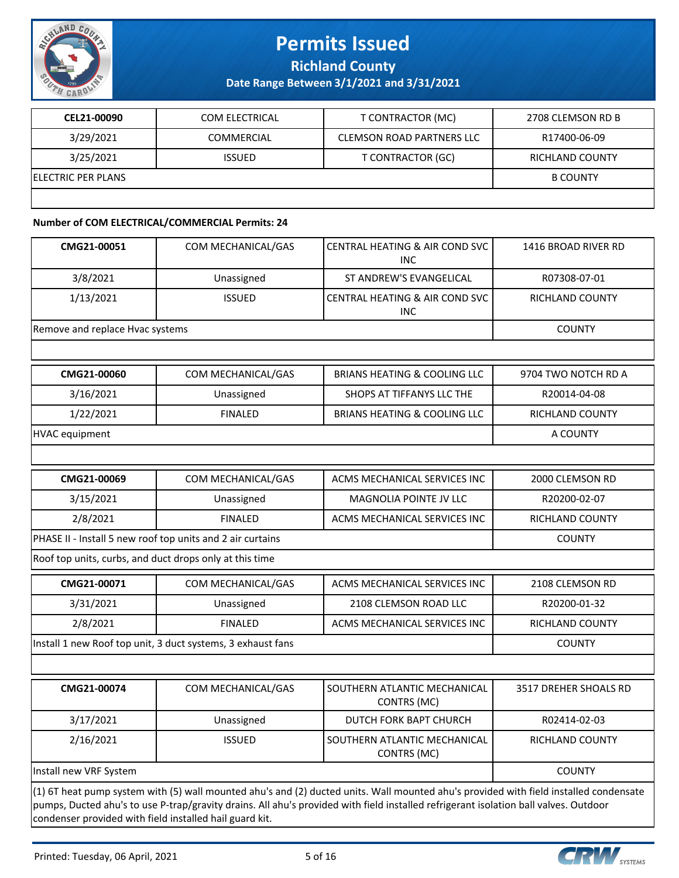

**Richland County**

**Date Range Between 3/1/2021 and 3/31/2021**

| CEL21-00090                | COM ELECTRICAL | T CONTRACTOR (MC)                | 2708 CLEMSON RD B      |
|----------------------------|----------------|----------------------------------|------------------------|
| 3/29/2021                  | COMMERCIAL     | <b>CLEMSON ROAD PARTNERS LLC</b> | R17400-06-09           |
| 3/25/2021                  | <b>ISSUED</b>  | T CONTRACTOR (GC)                | <b>RICHLAND COUNTY</b> |
| <b>IELECTRIC PER PLANS</b> |                |                                  | <b>B COUNTY</b>        |
|                            |                |                                  |                        |

#### **Number of COM ELECTRICAL/COMMERCIAL Permits: 24**

| CMG21-00051                                             | COM MECHANICAL/GAS                                          | CENTRAL HEATING & AIR COND SVC<br><b>INC</b>                                                                                                                                                                                                                                  | 1416 BROAD RIVER RD   |
|---------------------------------------------------------|-------------------------------------------------------------|-------------------------------------------------------------------------------------------------------------------------------------------------------------------------------------------------------------------------------------------------------------------------------|-----------------------|
| 3/8/2021                                                | Unassigned                                                  | ST ANDREW'S EVANGELICAL                                                                                                                                                                                                                                                       | R07308-07-01          |
| 1/13/2021                                               | <b>ISSUED</b>                                               | <b>CENTRAL HEATING &amp; AIR COND SVC</b><br><b>INC</b>                                                                                                                                                                                                                       | RICHLAND COUNTY       |
| Remove and replace Hvac systems                         |                                                             |                                                                                                                                                                                                                                                                               | <b>COUNTY</b>         |
|                                                         |                                                             |                                                                                                                                                                                                                                                                               |                       |
| CMG21-00060                                             | COM MECHANICAL/GAS                                          | <b>BRIANS HEATING &amp; COOLING LLC</b>                                                                                                                                                                                                                                       | 9704 TWO NOTCH RD A   |
| 3/16/2021                                               | Unassigned                                                  | SHOPS AT TIFFANYS LLC THE                                                                                                                                                                                                                                                     | R20014-04-08          |
| 1/22/2021                                               | <b>FINALED</b>                                              | <b>BRIANS HEATING &amp; COOLING LLC</b>                                                                                                                                                                                                                                       | RICHLAND COUNTY       |
| <b>HVAC</b> equipment                                   |                                                             |                                                                                                                                                                                                                                                                               | A COUNTY              |
|                                                         |                                                             |                                                                                                                                                                                                                                                                               |                       |
| CMG21-00069                                             | COM MECHANICAL/GAS                                          | ACMS MECHANICAL SERVICES INC                                                                                                                                                                                                                                                  | 2000 CLEMSON RD       |
| 3/15/2021                                               | Unassigned                                                  | MAGNOLIA POINTE JV LLC                                                                                                                                                                                                                                                        | R20200-02-07          |
| 2/8/2021                                                | <b>FINALED</b>                                              | ACMS MECHANICAL SERVICES INC                                                                                                                                                                                                                                                  | RICHLAND COUNTY       |
|                                                         | PHASE II - Install 5 new roof top units and 2 air curtains  |                                                                                                                                                                                                                                                                               | <b>COUNTY</b>         |
| Roof top units, curbs, and duct drops only at this time |                                                             |                                                                                                                                                                                                                                                                               |                       |
| CMG21-00071                                             | COM MECHANICAL/GAS                                          | ACMS MECHANICAL SERVICES INC                                                                                                                                                                                                                                                  | 2108 CLEMSON RD       |
| 3/31/2021                                               | Unassigned                                                  | 2108 CLEMSON ROAD LLC                                                                                                                                                                                                                                                         | R20200-01-32          |
| 2/8/2021                                                | <b>FINALED</b>                                              | ACMS MECHANICAL SERVICES INC                                                                                                                                                                                                                                                  | RICHLAND COUNTY       |
|                                                         | Install 1 new Roof top unit, 3 duct systems, 3 exhaust fans |                                                                                                                                                                                                                                                                               | <b>COUNTY</b>         |
|                                                         |                                                             |                                                                                                                                                                                                                                                                               |                       |
| CMG21-00074                                             | COM MECHANICAL/GAS                                          | SOUTHERN ATLANTIC MECHANICAL<br>CONTRS (MC)                                                                                                                                                                                                                                   | 3517 DREHER SHOALS RD |
| 3/17/2021                                               | Unassigned                                                  | DUTCH FORK BAPT CHURCH                                                                                                                                                                                                                                                        | R02414-02-03          |
| 2/16/2021                                               | <b>ISSUED</b>                                               | SOUTHERN ATLANTIC MECHANICAL<br>CONTRS (MC)                                                                                                                                                                                                                                   | RICHLAND COUNTY       |
| Install new VRF System                                  |                                                             |                                                                                                                                                                                                                                                                               | <b>COUNTY</b>         |
|                                                         |                                                             | (1) 6T heat pump system with (5) wall mounted ahu's and (2) ducted units. Wall mounted ahu's provided with field installed condensate<br>pumps, Ducted ahu's to use P-trap/gravity drains. All ahu's provided with field installed refrigerant isolation ball valves. Outdoor |                       |

condenser provided with field installed hail guard kit.

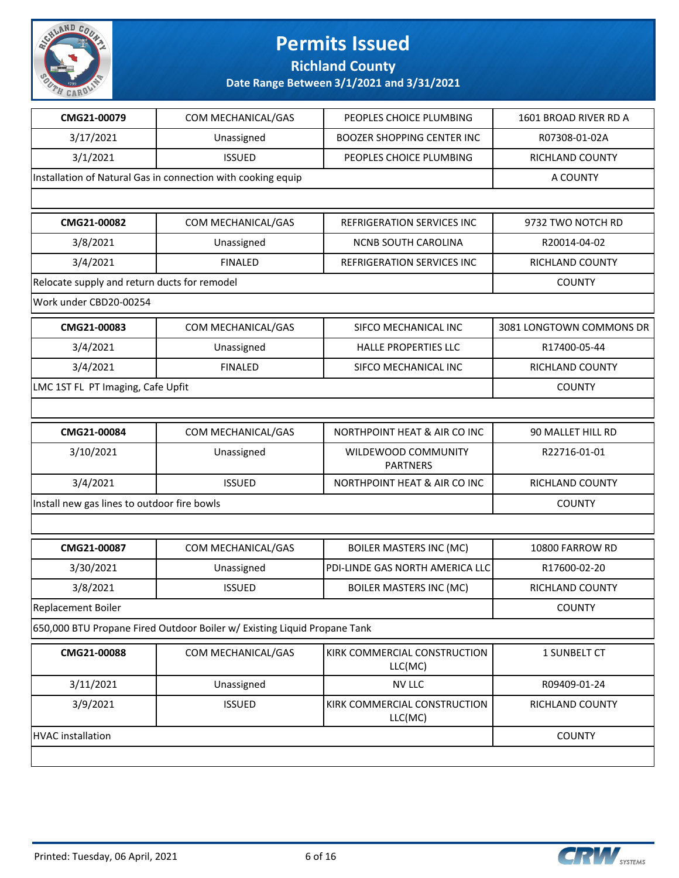

**Richland County**

| CMG21-00079                                  | COM MECHANICAL/GAS                                                       | PEOPLES CHOICE PLUMBING                 | 1601 BROAD RIVER RD A    |
|----------------------------------------------|--------------------------------------------------------------------------|-----------------------------------------|--------------------------|
| 3/17/2021                                    | Unassigned                                                               | <b>BOOZER SHOPPING CENTER INC</b>       | R07308-01-02A            |
| 3/1/2021                                     | <b>ISSUED</b>                                                            | PEOPLES CHOICE PLUMBING                 | RICHLAND COUNTY          |
|                                              | Installation of Natural Gas in connection with cooking equip             |                                         | A COUNTY                 |
|                                              |                                                                          |                                         |                          |
| CMG21-00082                                  | COM MECHANICAL/GAS                                                       | REFRIGERATION SERVICES INC              | 9732 TWO NOTCH RD        |
| 3/8/2021                                     | Unassigned                                                               | <b>NCNB SOUTH CAROLINA</b>              | R20014-04-02             |
| 3/4/2021                                     | <b>FINALED</b>                                                           | REFRIGERATION SERVICES INC              | RICHLAND COUNTY          |
| Relocate supply and return ducts for remodel |                                                                          |                                         | <b>COUNTY</b>            |
| Work under CBD20-00254                       |                                                                          |                                         |                          |
| CMG21-00083                                  | COM MECHANICAL/GAS                                                       | SIFCO MECHANICAL INC                    | 3081 LONGTOWN COMMONS DR |
| 3/4/2021                                     | Unassigned                                                               | HALLE PROPERTIES LLC                    | R17400-05-44             |
| 3/4/2021                                     | <b>FINALED</b>                                                           | SIFCO MECHANICAL INC                    | RICHLAND COUNTY          |
| LMC 1ST FL PT Imaging, Cafe Upfit            |                                                                          |                                         | <b>COUNTY</b>            |
|                                              |                                                                          |                                         |                          |
| CMG21-00084                                  | COM MECHANICAL/GAS                                                       | NORTHPOINT HEAT & AIR CO INC            | 90 MALLET HILL RD        |
| 3/10/2021                                    | Unassigned                                                               | WILDEWOOD COMMUNITY<br><b>PARTNERS</b>  | R22716-01-01             |
| 3/4/2021                                     | <b>ISSUED</b>                                                            | NORTHPOINT HEAT & AIR CO INC            | RICHLAND COUNTY          |
| Install new gas lines to outdoor fire bowls  |                                                                          |                                         | <b>COUNTY</b>            |
|                                              |                                                                          |                                         |                          |
| CMG21-00087                                  | COM MECHANICAL/GAS                                                       | <b>BOILER MASTERS INC (MC)</b>          | 10800 FARROW RD          |
| 3/30/2021                                    | Unassigned                                                               | PDI-LINDE GAS NORTH AMERICA LLC         | R17600-02-20             |
| 3/8/2021                                     | <b>ISSUED</b>                                                            | <b>BOILER MASTERS INC (MC)</b>          | RICHLAND COUNTY          |
| Replacement Boiler                           |                                                                          |                                         | COUNTY                   |
|                                              | 650,000 BTU Propane Fired Outdoor Boiler w/ Existing Liquid Propane Tank |                                         |                          |
| CMG21-00088                                  | COM MECHANICAL/GAS                                                       | KIRK COMMERCIAL CONSTRUCTION<br>LLC(MC) | 1 SUNBELT CT             |
| 3/11/2021                                    | Unassigned                                                               | <b>NV LLC</b>                           | R09409-01-24             |
| 3/9/2021                                     | <b>ISSUED</b>                                                            | KIRK COMMERCIAL CONSTRUCTION<br>LLC(MC) | RICHLAND COUNTY          |
| <b>HVAC</b> installation                     |                                                                          |                                         | <b>COUNTY</b>            |
|                                              |                                                                          |                                         |                          |

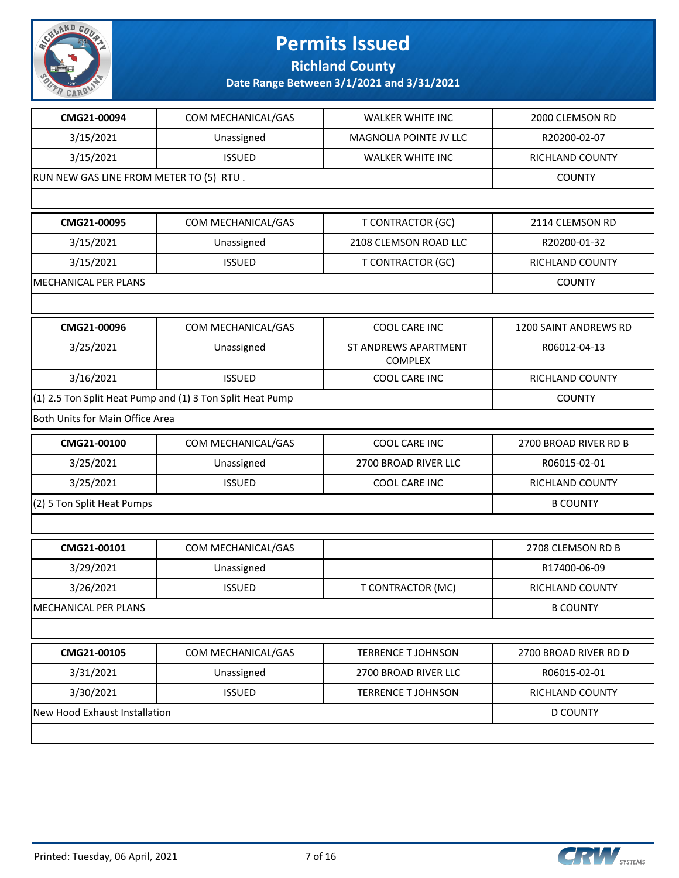

**Richland County**

| CMG21-00094                             | COM MECHANICAL/GAS                                        | <b>WALKER WHITE INC</b>                | 2000 CLEMSON RD        |
|-----------------------------------------|-----------------------------------------------------------|----------------------------------------|------------------------|
| 3/15/2021                               | Unassigned                                                | <b>MAGNOLIA POINTE JV LLC</b>          | R20200-02-07           |
| 3/15/2021                               | <b>ISSUED</b>                                             | <b>WALKER WHITE INC</b>                | RICHLAND COUNTY        |
| RUN NEW GAS LINE FROM METER TO (5) RTU. |                                                           |                                        | <b>COUNTY</b>          |
|                                         |                                                           |                                        |                        |
| CMG21-00095                             | COM MECHANICAL/GAS                                        | <b>T CONTRACTOR (GC)</b>               | 2114 CLEMSON RD        |
| 3/15/2021                               | Unassigned                                                | 2108 CLEMSON ROAD LLC                  | R20200-01-32           |
| 3/15/2021                               | <b>ISSUED</b>                                             | <b>T CONTRACTOR (GC)</b>               | <b>RICHLAND COUNTY</b> |
| MECHANICAL PER PLANS                    |                                                           |                                        | <b>COUNTY</b>          |
|                                         |                                                           |                                        |                        |
| CMG21-00096                             | COM MECHANICAL/GAS                                        | COOL CARE INC                          | 1200 SAINT ANDREWS RD  |
| 3/25/2021                               | Unassigned                                                | ST ANDREWS APARTMENT<br><b>COMPLEX</b> | R06012-04-13           |
| 3/16/2021                               | <b>ISSUED</b>                                             | COOL CARE INC                          | RICHLAND COUNTY        |
|                                         | (1) 2.5 Ton Split Heat Pump and (1) 3 Ton Split Heat Pump |                                        | <b>COUNTY</b>          |
| Both Units for Main Office Area         |                                                           |                                        |                        |
| CMG21-00100                             | COM MECHANICAL/GAS                                        | COOL CARE INC                          | 2700 BROAD RIVER RD B  |
| 3/25/2021                               | Unassigned                                                | 2700 BROAD RIVER LLC                   | R06015-02-01           |
| 3/25/2021                               | <b>ISSUED</b>                                             | COOL CARE INC                          | RICHLAND COUNTY        |
| (2) 5 Ton Split Heat Pumps              |                                                           |                                        | <b>B COUNTY</b>        |
|                                         |                                                           |                                        |                        |
| CMG21-00101                             | COM MECHANICAL/GAS                                        |                                        | 2708 CLEMSON RD B      |
| 3/29/2021                               | Unassigned                                                |                                        | R17400-06-09           |
| 3/26/2021                               | <b>ISSUED</b>                                             | <b>T CONTRACTOR (MC)</b>               | RICHLAND COUNTY        |
| MECHANICAL PER PLANS                    |                                                           |                                        | <b>B COUNTY</b>        |
|                                         |                                                           |                                        |                        |
| CMG21-00105                             | COM MECHANICAL/GAS                                        | <b>TERRENCE T JOHNSON</b>              | 2700 BROAD RIVER RD D  |
| 3/31/2021                               | Unassigned                                                | 2700 BROAD RIVER LLC                   | R06015-02-01           |
| 3/30/2021                               | <b>ISSUED</b>                                             | <b>TERRENCE T JOHNSON</b>              | RICHLAND COUNTY        |
| New Hood Exhaust Installation           |                                                           |                                        | <b>D COUNTY</b>        |
|                                         |                                                           |                                        |                        |

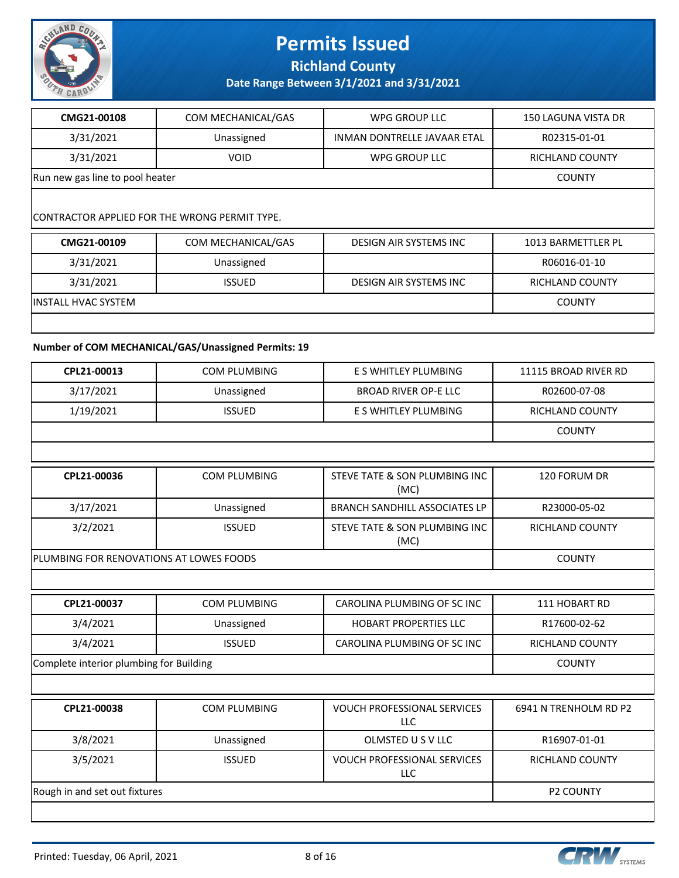

**Richland County**

**Date Range Between 3/1/2021 and 3/31/2021**

| CMG21-00108                                   | COM MECHANICAL/GAS | WPG GROUP LLC                 | <b>150 LAGUNA VISTA DR</b> |  |
|-----------------------------------------------|--------------------|-------------------------------|----------------------------|--|
| 3/31/2021                                     | Unassigned         | INMAN DONTRELLE JAVAAR ETAL   | R02315-01-01               |  |
| 3/31/2021                                     | <b>VOID</b>        | WPG GROUP LLC                 | RICHLAND COUNTY            |  |
| Run new gas line to pool heater               |                    |                               | <b>COUNTY</b>              |  |
|                                               |                    |                               |                            |  |
| CONTRACTOR APPLIED FOR THE WRONG PERMIT TYPE. |                    |                               |                            |  |
| CMG21-00109                                   | COM MECHANICAL/GAS | <b>DESIGN AIR SYSTEMS INC</b> | 1013 BARMETTLER PL         |  |
| 3/31/2021                                     | Unassigned         |                               | R06016-01-10               |  |

3/31/2021 | ISSUED | DESIGN AIR SYSTEMS INC | RICHLAND COUNTY

INSTALL HVAC SYSTEM COUNTY

#### **Number of COM MECHANICAL/GAS/Unassigned Permits: 19**

| CPL21-00013                             | <b>COM PLUMBING</b> | E S WHITLEY PLUMBING                             | 11115 BROAD RIVER RD   |
|-----------------------------------------|---------------------|--------------------------------------------------|------------------------|
| 3/17/2021                               | Unassigned          | <b>BROAD RIVER OP-E LLC</b>                      | R02600-07-08           |
| 1/19/2021                               | <b>ISSUED</b>       | E S WHITLEY PLUMBING                             | RICHLAND COUNTY        |
|                                         |                     |                                                  | <b>COUNTY</b>          |
|                                         |                     |                                                  |                        |
| CPL21-00036                             | <b>COM PLUMBING</b> | STEVE TATE & SON PLUMBING INC<br>(MC)            | 120 FORUM DR           |
| 3/17/2021                               | Unassigned          | <b>BRANCH SANDHILL ASSOCIATES LP</b>             | R23000-05-02           |
| 3/2/2021                                | <b>ISSUED</b>       | STEVE TATE & SON PLUMBING INC<br>(MC)            | RICHLAND COUNTY        |
| PLUMBING FOR RENOVATIONS AT LOWES FOODS |                     |                                                  | <b>COUNTY</b>          |
|                                         |                     |                                                  |                        |
| CPL21-00037                             | <b>COM PLUMBING</b> | CAROLINA PLUMBING OF SC INC                      | 111 HOBART RD          |
| 3/4/2021                                | Unassigned          | <b>HOBART PROPERTIES LLC</b>                     | R17600-02-62           |
| 3/4/2021                                | <b>ISSUED</b>       | CAROLINA PLUMBING OF SC INC                      | <b>RICHLAND COUNTY</b> |
| Complete interior plumbing for Building |                     |                                                  | <b>COUNTY</b>          |
|                                         |                     |                                                  |                        |
| CPL21-00038                             | <b>COM PLUMBING</b> | <b>VOUCH PROFESSIONAL SERVICES</b><br><b>LLC</b> | 6941 N TRENHOLM RD P2  |
| 3/8/2021                                | Unassigned          | OLMSTED U S V LLC                                | R16907-01-01           |
| 3/5/2021                                | <b>ISSUED</b>       | <b>VOUCH PROFESSIONAL SERVICES</b><br>LLC        | RICHLAND COUNTY        |
| Rough in and set out fixtures           |                     |                                                  | <b>P2 COUNTY</b>       |
|                                         |                     |                                                  |                        |

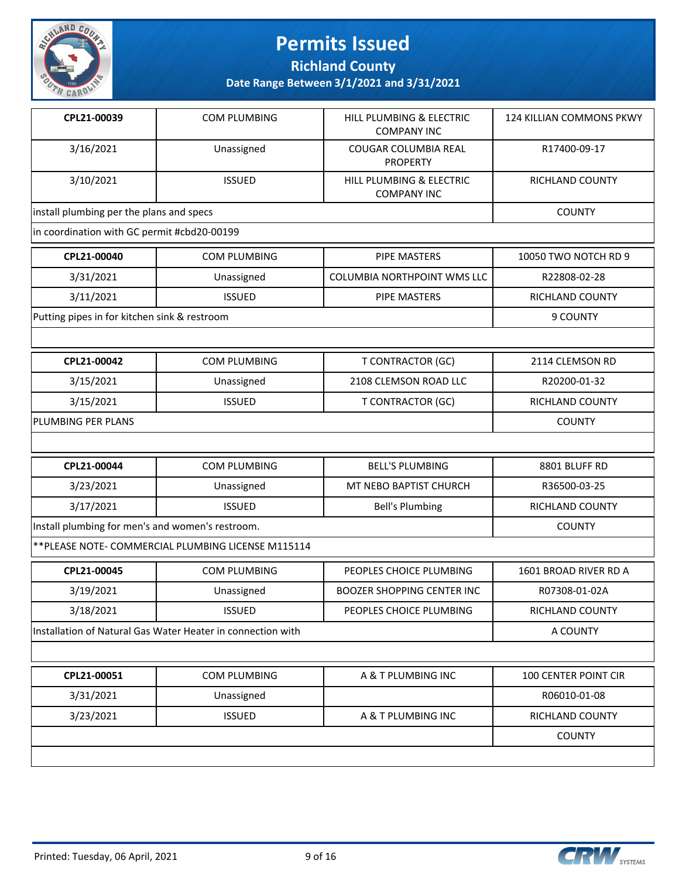

**Richland County**

| CPL21-00039                                      | COM PLUMBING                                                | HILL PLUMBING & ELECTRIC<br><b>COMPANY INC</b> | 124 KILLIAN COMMONS PKWY |
|--------------------------------------------------|-------------------------------------------------------------|------------------------------------------------|--------------------------|
| 3/16/2021                                        | Unassigned                                                  | COUGAR COLUMBIA REAL<br><b>PROPERTY</b>        | R17400-09-17             |
| 3/10/2021                                        | <b>ISSUED</b>                                               | HILL PLUMBING & ELECTRIC<br><b>COMPANY INC</b> | RICHLAND COUNTY          |
| install plumbing per the plans and specs         |                                                             |                                                | <b>COUNTY</b>            |
| in coordination with GC permit #cbd20-00199      |                                                             |                                                |                          |
| CPL21-00040                                      | <b>COM PLUMBING</b>                                         | <b>PIPE MASTERS</b>                            | 10050 TWO NOTCH RD 9     |
| 3/31/2021                                        | Unassigned                                                  | COLUMBIA NORTHPOINT WMS LLC                    | R22808-02-28             |
| 3/11/2021                                        | <b>ISSUED</b>                                               | <b>PIPE MASTERS</b>                            | RICHLAND COUNTY          |
| Putting pipes in for kitchen sink & restroom     |                                                             |                                                | 9 COUNTY                 |
|                                                  |                                                             |                                                |                          |
| CPL21-00042                                      | <b>COM PLUMBING</b>                                         | <b>T CONTRACTOR (GC)</b>                       | 2114 CLEMSON RD          |
| 3/15/2021                                        | Unassigned                                                  | 2108 CLEMSON ROAD LLC                          | R20200-01-32             |
| 3/15/2021                                        | <b>ISSUED</b>                                               | <b>T CONTRACTOR (GC)</b>                       | <b>RICHLAND COUNTY</b>   |
| PLUMBING PER PLANS                               |                                                             |                                                | <b>COUNTY</b>            |
|                                                  |                                                             |                                                |                          |
| CPL21-00044                                      | <b>COM PLUMBING</b>                                         | <b>BELL'S PLUMBING</b>                         | 8801 BLUFF RD            |
| 3/23/2021                                        | Unassigned                                                  | MT NEBO BAPTIST CHURCH                         | R36500-03-25             |
| 3/17/2021                                        | <b>ISSUED</b>                                               | <b>Bell's Plumbing</b>                         | RICHLAND COUNTY          |
| Install plumbing for men's and women's restroom. |                                                             |                                                | <b>COUNTY</b>            |
|                                                  | ** PLEASE NOTE- COMMERCIAL PLUMBING LICENSE M115114         |                                                |                          |
| CPL21-00045                                      | <b>COM PLUMBING</b>                                         | PEOPLES CHOICE PLUMBING                        | 1601 BROAD RIVER RD A    |
| 3/19/2021                                        | Unassigned                                                  | <b>BOOZER SHOPPING CENTER INC</b>              | R07308-01-02A            |
| 3/18/2021                                        | <b>ISSUED</b>                                               | PEOPLES CHOICE PLUMBING                        | RICHLAND COUNTY          |
|                                                  | Installation of Natural Gas Water Heater in connection with |                                                | A COUNTY                 |
|                                                  |                                                             |                                                |                          |
| CPL21-00051                                      | COM PLUMBING                                                | A & T PLUMBING INC                             | 100 CENTER POINT CIR     |
| 3/31/2021                                        | Unassigned                                                  |                                                | R06010-01-08             |
| 3/23/2021                                        | <b>ISSUED</b>                                               | A & T PLUMBING INC                             | RICHLAND COUNTY          |
|                                                  |                                                             |                                                | <b>COUNTY</b>            |
|                                                  |                                                             |                                                |                          |

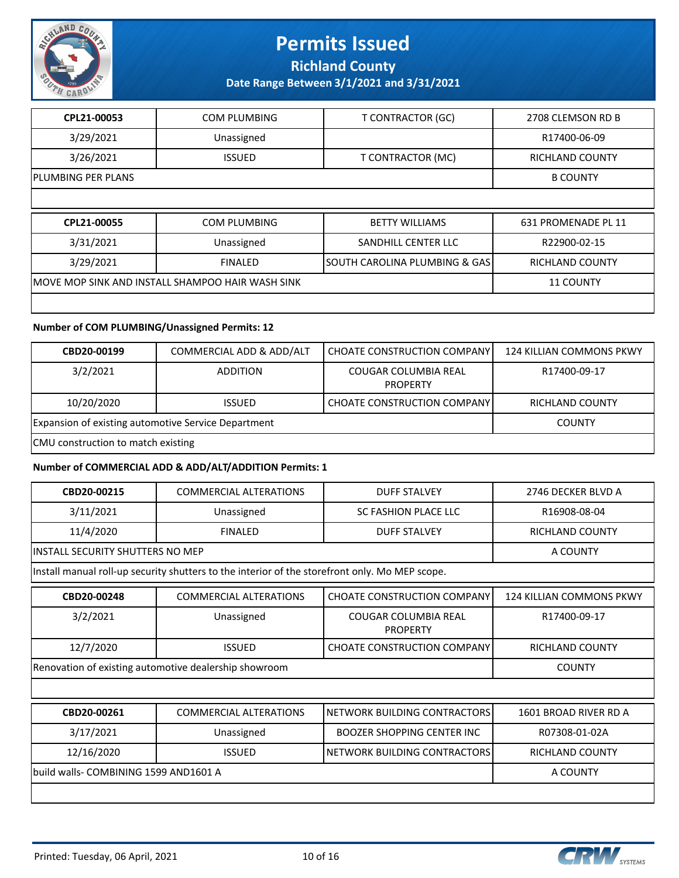

**Richland County**

**Date Range Between 3/1/2021 and 3/31/2021**

| CPL21-00053        | COM PLUMBING                                      | <b>T CONTRACTOR (GC)</b>      | 2708 CLEMSON RD B      |
|--------------------|---------------------------------------------------|-------------------------------|------------------------|
| 3/29/2021          | Unassigned                                        |                               | R17400-06-09           |
| 3/26/2021          | <b>ISSUED</b>                                     | T CONTRACTOR (MC)             | <b>RICHLAND COUNTY</b> |
| PLUMBING PER PLANS |                                                   |                               | <b>B COUNTY</b>        |
|                    |                                                   |                               |                        |
|                    |                                                   |                               |                        |
| CPL21-00055        | COM PLUMBING                                      | <b>BETTY WILLIAMS</b>         | 631 PROMENADE PL 11    |
| 3/31/2021          | Unassigned                                        | SANDHILL CENTER LLC           | R22900-02-15           |
| 3/29/2021          | <b>FINALED</b>                                    | SOUTH CAROLINA PLUMBING & GAS | <b>RICHLAND COUNTY</b> |
|                    | IMOVE MOP SINK AND INSTALL SHAMPOO HAIR WASH SINK |                               | <b>11 COUNTY</b>       |

#### **Number of COM PLUMBING/Unassigned Permits: 12**

| CBD20-00199                                         | COMMERCIAL ADD & ADD/ALT | CHOATE CONSTRUCTION COMPANY             | 124 KILLIAN COMMONS PKWY |
|-----------------------------------------------------|--------------------------|-----------------------------------------|--------------------------|
| 3/2/2021                                            | <b>ADDITION</b>          | COUGAR COLUMBIA REAL<br><b>PROPERTY</b> | R17400-09-17             |
| 10/20/2020                                          | <b>ISSUED</b>            | CHOATE CONSTRUCTION COMPANY             | RICHLAND COUNTY          |
| Expansion of existing automotive Service Department | <b>COUNTY</b>            |                                         |                          |
| CMU construction to match existing                  |                          |                                         |                          |

#### **Number of COMMERCIAL ADD & ADD/ALT/ADDITION Permits: 1**

| CBD20-00215                                           | <b>COMMERCIAL ALTERATIONS</b>                                                                  | <b>DUFF STALVEY</b>                     | 2746 DECKER BLVD A              |
|-------------------------------------------------------|------------------------------------------------------------------------------------------------|-----------------------------------------|---------------------------------|
| 3/11/2021                                             | Unassigned                                                                                     | SC FASHION PLACE LLC                    | R16908-08-04                    |
| 11/4/2020                                             | <b>FINALED</b>                                                                                 | <b>DUFF STALVEY</b>                     | RICHLAND COUNTY                 |
| <b>INSTALL SECURITY SHUTTERS NO MEP</b>               |                                                                                                |                                         | A COUNTY                        |
|                                                       | Install manual roll-up security shutters to the interior of the storefront only. Mo MEP scope. |                                         |                                 |
| CBD20-00248                                           | <b>COMMERCIAL ALTERATIONS</b>                                                                  | <b>CHOATE CONSTRUCTION COMPANY</b>      | <b>124 KILLIAN COMMONS PKWY</b> |
| 3/2/2021                                              | Unassigned                                                                                     | COUGAR COLUMBIA REAL<br><b>PROPERTY</b> | R17400-09-17                    |
| 12/7/2020                                             | <b>ISSUED</b>                                                                                  | <b>CHOATE CONSTRUCTION COMPANY</b>      | <b>RICHLAND COUNTY</b>          |
| Renovation of existing automotive dealership showroom | <b>COUNTY</b>                                                                                  |                                         |                                 |
|                                                       |                                                                                                |                                         |                                 |
| CBD20-00261                                           | <b>COMMERCIAL ALTERATIONS</b>                                                                  | NETWORK BUILDING CONTRACTORS            | 1601 BROAD RIVER RD A           |
| 3/17/2021                                             | Unassigned                                                                                     | <b>BOOZER SHOPPING CENTER INC</b>       | R07308-01-02A                   |
| 12/16/2020                                            | <b>ISSUED</b>                                                                                  | NETWORK BUILDING CONTRACTORS            | <b>RICHLAND COUNTY</b>          |
| build walls- COMBINING 1599 AND1601 A                 | A COUNTY                                                                                       |                                         |                                 |
|                                                       |                                                                                                |                                         |                                 |

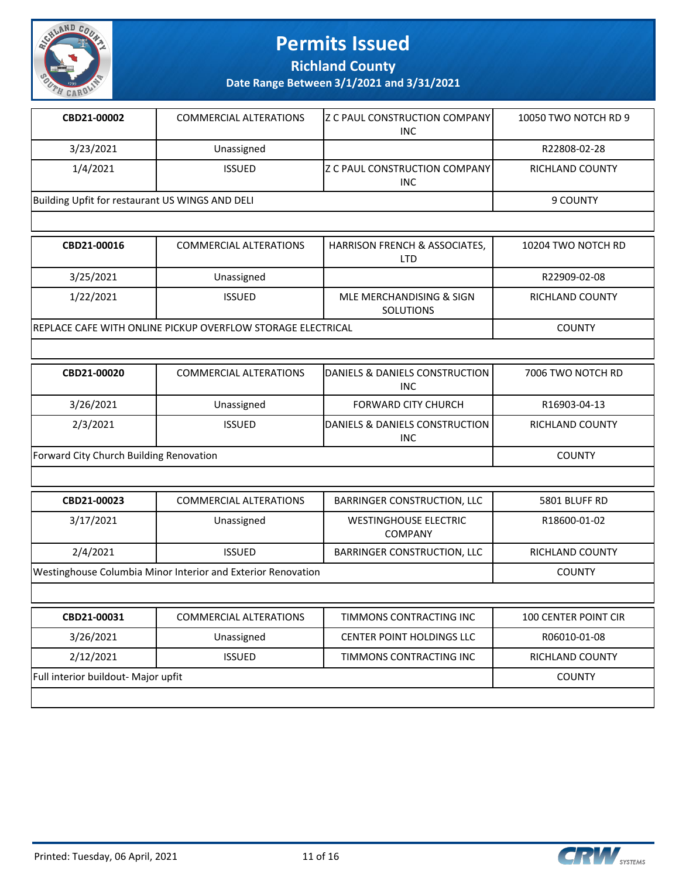

**Richland County**

| CBD21-00002                                     | <b>COMMERCIAL ALTERATIONS</b> | IZ C PAUL CONSTRUCTION COMPANY<br><b>INC</b>  | 10050 TWO NOTCH RD 9 |
|-------------------------------------------------|-------------------------------|-----------------------------------------------|----------------------|
| 3/23/2021                                       | Unassigned                    |                                               | R22808-02-28         |
| 1/4/2021                                        | <b>ISSUED</b>                 | IZ C PAUL CONSTRUCTION COMPANYI<br><b>INC</b> | RICHLAND COUNTY      |
| Building Upfit for restaurant US WINGS AND DELI |                               |                                               | 9 COUNTY             |
|                                                 |                               |                                               |                      |
| CBD21-00016                                     | <b>COMMERCIAL ALTERATIONS</b> | HARRISON FRENCH & ASSOCIATES,<br>$- - -$      | 10204 TWO NOTCH RD   |

|                                                              |               | LTD                                          |                 |
|--------------------------------------------------------------|---------------|----------------------------------------------|-----------------|
| 3/25/2021                                                    | Unassigned    |                                              | R22909-02-08    |
| 1/22/2021                                                    | <b>ISSUED</b> | MLE MERCHANDISING & SIGN<br><b>SOLUTIONS</b> | RICHLAND COUNTY |
| IREPLACE CAFE WITH ONLINE PICKUP OVERFLOW STORAGE ELECTRICAL |               |                                              | <b>COUNTY</b>   |

| CBD21-00020                             | <b>COMMERCIAL ALTERATIONS</b> | <b>IDANIELS &amp; DANIELS CONSTRUCTION</b><br><b>INC</b> | 7006 TWO NOTCH RD |
|-----------------------------------------|-------------------------------|----------------------------------------------------------|-------------------|
| 3/26/2021                               | Unassigned                    | <b>FORWARD CITY CHURCH</b>                               | R16903-04-13      |
| 2/3/2021                                | <b>ISSUED</b>                 | DANIELS & DANIELS CONSTRUCTION<br><b>INC</b>             | RICHLAND COUNTY   |
| Forward City Church Building Renovation |                               |                                                          | <b>COUNTY</b>     |

| CBD21-00023                                                         | <b>COMMERCIAL ALTERATIONS</b> | BARRINGER CONSTRUCTION, LLC                    | 5801 BLUFF RD          |
|---------------------------------------------------------------------|-------------------------------|------------------------------------------------|------------------------|
| 3/17/2021                                                           | Unassigned                    | <b>WESTINGHOUSE ELECTRIC</b><br><b>COMPANY</b> | R18600-01-02           |
| 2/4/2021                                                            | <b>ISSUED</b>                 | BARRINGER CONSTRUCTION, LLC                    | <b>RICHLAND COUNTY</b> |
| <b>Westinghouse Columbia Minor Interior and Exterior Renovation</b> |                               |                                                | <b>COUNTY</b>          |
|                                                                     |                               |                                                |                        |

| CBD21-00031                         | <b>COMMERCIAL ALTERATIONS</b> | TIMMONS CONTRACTING INC          | <b>100 CENTER POINT CIR</b> |
|-------------------------------------|-------------------------------|----------------------------------|-----------------------------|
| 3/26/2021                           | Unassigned                    | <b>CENTER POINT HOLDINGS LLC</b> | R06010-01-08                |
| 2/12/2021                           | ISSUED.                       | TIMMONS CONTRACTING INC          | RICHLAND COUNTY             |
| Full interior buildout- Major upfit |                               |                                  | <b>COUNTY</b>               |
|                                     |                               |                                  |                             |

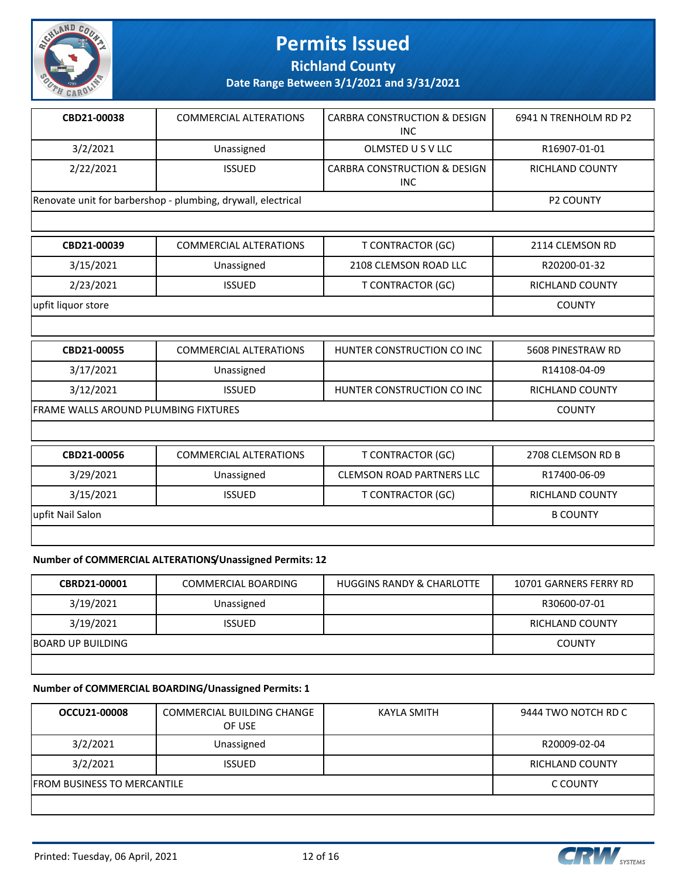

**Richland County**

**Date Range Between 3/1/2021 and 3/31/2021**

| CBD21-00038                                                  | COMMERCIAL ALTERATIONS | <b>CARBRA CONSTRUCTION &amp; DESIGN</b><br>INC | 6941 N TRENHOLM RD P2 |
|--------------------------------------------------------------|------------------------|------------------------------------------------|-----------------------|
| 3/2/2021                                                     | Unassigned             | OLMSTED U S V LLC                              | R16907-01-01          |
| 2/22/2021                                                    | <b>ISSUED</b>          | <b>CARBRA CONSTRUCTION &amp; DESIGN</b><br>INC | RICHLAND COUNTY       |
| Renovate unit for barbershop - plumbing, drywall, electrical |                        |                                                | <b>P2 COUNTY</b>      |

| CBD21-00039        | <b>COMMERCIAL ALTERATIONS</b> | T CONTRACTOR (GC)          | 2114 CLEMSON RD   |
|--------------------|-------------------------------|----------------------------|-------------------|
| 3/15/2021          | Unassigned                    | 2108 CLEMSON ROAD LLC      | R20200-01-32      |
| 2/23/2021          | <b>ISSUED</b>                 | <b>T CONTRACTOR (GC)</b>   | RICHLAND COUNTY   |
| upfit liquor store |                               |                            | <b>COUNTY</b>     |
|                    |                               |                            |                   |
| CBD21-00055        | <b>COMMERCIAL ALTERATIONS</b> | HUNTER CONSTRUCTION CO INC | 5608 PINESTRAW RD |

| 3/17/2021        | Unassigned                           |                                  | R14108-04-09           |
|------------------|--------------------------------------|----------------------------------|------------------------|
| 3/12/2021        | <b>ISSUED</b>                        | HUNTER CONSTRUCTION CO INC       | <b>RICHLAND COUNTY</b> |
|                  | FRAME WALLS AROUND PLUMBING FIXTURES |                                  |                        |
|                  |                                      |                                  |                        |
| CBD21-00056      | <b>COMMERCIAL ALTERATIONS</b>        | T CONTRACTOR (GC)                | 2708 CLEMSON RD B      |
| 3/29/2021        | Unassigned                           | <b>CLEMSON ROAD PARTNERS LLC</b> | R17400-06-09           |
| 3/15/2021        | <b>ISSUED</b>                        | T CONTRACTOR (GC)                | <b>RICHLAND COUNTY</b> |
| upfit Nail Salon |                                      |                                  | <b>B COUNTY</b>        |

#### **Number of COMMERCIAL ALTERATIONS/Unassigned Permits: 12**

| <b>CBRD21-00001</b>      | COMMERCIAL BOARDING | <b>HUGGINS RANDY &amp; CHARLOTTE</b> | 10701 GARNERS FERRY RD |
|--------------------------|---------------------|--------------------------------------|------------------------|
| 3/19/2021                | Unassigned          |                                      | R30600-07-01           |
| 3/19/2021                | <b>ISSUED</b>       |                                      | RICHLAND COUNTY        |
| <b>BOARD UP BUILDING</b> |                     |                                      | <b>COUNTY</b>          |
|                          |                     |                                      |                        |

#### **Number of COMMERCIAL BOARDING/Unassigned Permits: 1**

| OCCU21-00008                       | COMMERCIAL BUILDING CHANGE<br>OF USE | KAYLA SMITH | 9444 TWO NOTCH RD C |
|------------------------------------|--------------------------------------|-------------|---------------------|
| 3/2/2021                           | Unassigned                           |             | R20009-02-04        |
| 3/2/2021                           | <b>ISSUED</b>                        |             | RICHLAND COUNTY     |
| <b>FROM BUSINESS TO MERCANTILE</b> |                                      |             | C COUNTY            |
|                                    |                                      |             |                     |



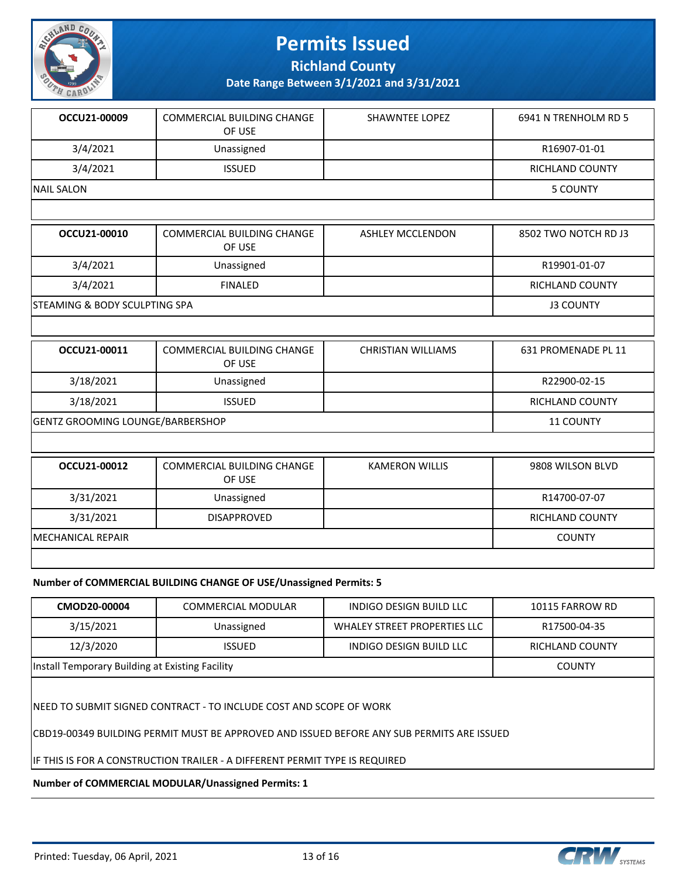

**Richland County**

**Date Range Between 3/1/2021 and 3/31/2021**

| OCCU21-00009      | COMMERCIAL BUILDING CHANGE<br>OF USE | SHAWNTEE LOPEZ | 6941 N TRENHOLM RD 5 |
|-------------------|--------------------------------------|----------------|----------------------|
| 3/4/2021          | Unassigned                           |                | R16907-01-01         |
| 3/4/2021          | <b>ISSUED</b>                        |                | RICHLAND COUNTY      |
| <b>NAIL SALON</b> |                                      |                | 5 COUNTY             |

| OCCU21-00010                   | COMMERCIAL BUILDING CHANGE<br>OF USE | <b>ASHLEY MCCLENDON</b> | 8502 TWO NOTCH RD J3 |
|--------------------------------|--------------------------------------|-------------------------|----------------------|
| 3/4/2021                       | Unassigned                           |                         | R19901-01-07         |
| 3/4/2021                       | <b>FINALED</b>                       |                         | RICHLAND COUNTY      |
| ISTEAMING & BODY SCULPTING SPA |                                      |                         | <b>J3 COUNTY</b>     |

| OCCU21-00011                            | COMMERCIAL BUILDING CHANGE<br>OF USE | <b>CHRISTIAN WILLIAMS</b> | 631 PROMENADE PL 11 |
|-----------------------------------------|--------------------------------------|---------------------------|---------------------|
| 3/18/2021                               | Unassigned                           |                           | R22900-02-15        |
| 3/18/2021                               | <b>ISSUED</b>                        |                           | RICHLAND COUNTY     |
| <b>GENTZ GROOMING LOUNGE/BARBERSHOP</b> |                                      |                           | <b>11 COUNTY</b>    |

| OCCU21-00012              | <b>COMMERCIAL BUILDING CHANGE</b><br>OF USE | <b>KAMERON WILLIS</b> | 9808 WILSON BLVD       |
|---------------------------|---------------------------------------------|-----------------------|------------------------|
| 3/31/2021                 | Unassigned                                  |                       | R14700-07-07           |
| 3/31/2021                 | <b>DISAPPROVED</b>                          |                       | <b>RICHLAND COUNTY</b> |
| <b>IMECHANICAL REPAIR</b> |                                             |                       | <b>COUNTY</b>          |
|                           |                                             |                       |                        |

#### **Number of COMMERCIAL BUILDING CHANGE OF USE/Unassigned Permits: 5**

| CMOD20-00004                                                                                                                                                      | COMMERCIAL MODULAR                                               | INDIGO DESIGN BUILD LLC      | 10115 FARROW RD |  |  |  |
|-------------------------------------------------------------------------------------------------------------------------------------------------------------------|------------------------------------------------------------------|------------------------------|-----------------|--|--|--|
| 3/15/2021                                                                                                                                                         | Unassigned                                                       | WHALEY STREET PROPERTIES LLC | R17500-04-35    |  |  |  |
| 12/3/2020                                                                                                                                                         | <b>ISSUED</b>                                                    | INDIGO DESIGN BUILD LLC      | RICHLAND COUNTY |  |  |  |
|                                                                                                                                                                   | Install Temporary Building at Existing Facility<br><b>COUNTY</b> |                              |                 |  |  |  |
| INEED TO SUBMIT SIGNED CONTRACT - TO INCLUDE COST AND SCOPE OF WORK<br> CBD19-00349 BUILDING PERMIT MUST BE APPROVED AND ISSUED BEFORE ANY SUB PERMITS ARE ISSUED |                                                                  |                              |                 |  |  |  |
| IF THIS IS FOR A CONSTRUCTION TRAILER - A DIFFERENT PERMIT TYPE IS REQUIRED                                                                                       |                                                                  |                              |                 |  |  |  |

**Number of COMMERCIAL MODULAR/Unassigned Permits: 1**

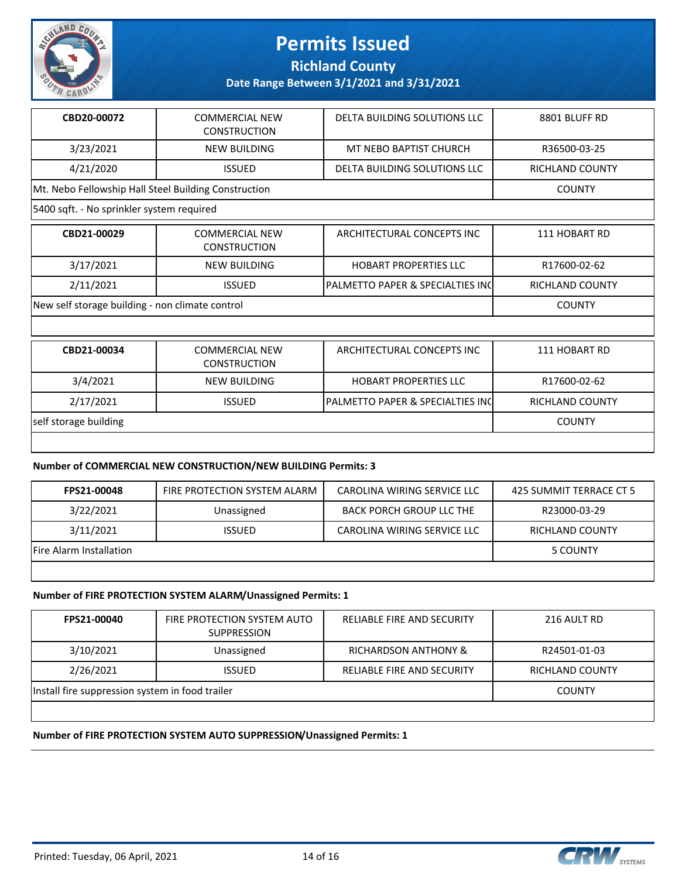

**Richland County**

**Date Range Between 3/1/2021 and 3/31/2021**

| CBD20-00072                                          | <b>COMMERCIAL NEW</b><br><b>CONSTRUCTION</b> | DELTA BUILDING SOLUTIONS LLC     | 8801 BLUFF RD          |
|------------------------------------------------------|----------------------------------------------|----------------------------------|------------------------|
| 3/23/2021                                            | <b>NEW BUILDING</b>                          | MT NEBO BAPTIST CHURCH           | R36500-03-25           |
| 4/21/2020                                            | <b>ISSUED</b>                                | DELTA BUILDING SOLUTIONS LLC     | <b>RICHLAND COUNTY</b> |
| Mt. Nebo Fellowship Hall Steel Building Construction |                                              |                                  | <b>COUNTY</b>          |
| 5400 sqft. - No sprinkler system required            |                                              |                                  |                        |
| CBD21-00029                                          | <b>COMMERCIAL NEW</b><br><b>CONSTRUCTION</b> | ARCHITECTURAL CONCEPTS INC       | 111 HOBART RD          |
| 3/17/2021                                            | <b>NEW BUILDING</b>                          | <b>HOBART PROPERTIES LLC</b>     | R17600-02-62           |
| 2/11/2021                                            | <b>ISSUED</b>                                | PALMETTO PAPER & SPECIALTIES INC | <b>RICHLAND COUNTY</b> |
| New self storage building - non climate control      | <b>COUNTY</b>                                |                                  |                        |
|                                                      |                                              |                                  |                        |
| CBD21-00034                                          | <b>COMMERCIAL NEW</b><br><b>CONSTRUCTION</b> | ARCHITECTURAL CONCEPTS INC       | 111 HOBART RD          |
| 3/4/2021                                             | <b>NEW BUILDING</b>                          | <b>HOBART PROPERTIES LLC</b>     | R17600-02-62           |
| 2/17/2021                                            | <b>ISSUED</b>                                | PALMETTO PAPER & SPECIALTIES INC | <b>RICHLAND COUNTY</b> |
| self storage building                                |                                              |                                  | <b>COUNTY</b>          |
|                                                      |                                              |                                  |                        |

#### **Number of COMMERCIAL NEW CONSTRUCTION/NEW BUILDING Permits: 3**

| FPS21-00048                    | FIRE PROTECTION SYSTEM ALARM | CAROLINA WIRING SERVICE LLC | 425 SUMMIT TERRACE CT 5 |
|--------------------------------|------------------------------|-----------------------------|-------------------------|
| 3/22/2021                      | Unassigned                   | BACK PORCH GROUP LLC THE    | R23000-03-29            |
| 3/11/2021                      | <b>ISSUED</b>                | CAROLINA WIRING SERVICE LLC | RICHLAND COUNTY         |
| <b>Fire Alarm Installation</b> |                              |                             | 5 COUNTY                |

#### **Number of FIRE PROTECTION SYSTEM ALARM/Unassigned Permits: 1**

| FPS21-00040                                     | FIRE PROTECTION SYSTEM AUTO<br><b>SUPPRESSION</b> | <b>RELIABLE FIRE AND SECURITY</b> | 216 AULT RD     |
|-------------------------------------------------|---------------------------------------------------|-----------------------------------|-----------------|
| 3/10/2021                                       | Unassigned                                        | <b>RICHARDSON ANTHONY &amp;</b>   | R24501-01-03    |
| 2/26/2021                                       | <b>ISSUED</b>                                     | <b>RELIABLE FIRE AND SECURITY</b> | RICHLAND COUNTY |
| Install fire suppression system in food trailer |                                                   |                                   | <b>COUNTY</b>   |
|                                                 |                                                   |                                   |                 |

#### **Number of FIRE PROTECTION SYSTEM AUTO SUPPRESSION/Unassigned Permits: 1**

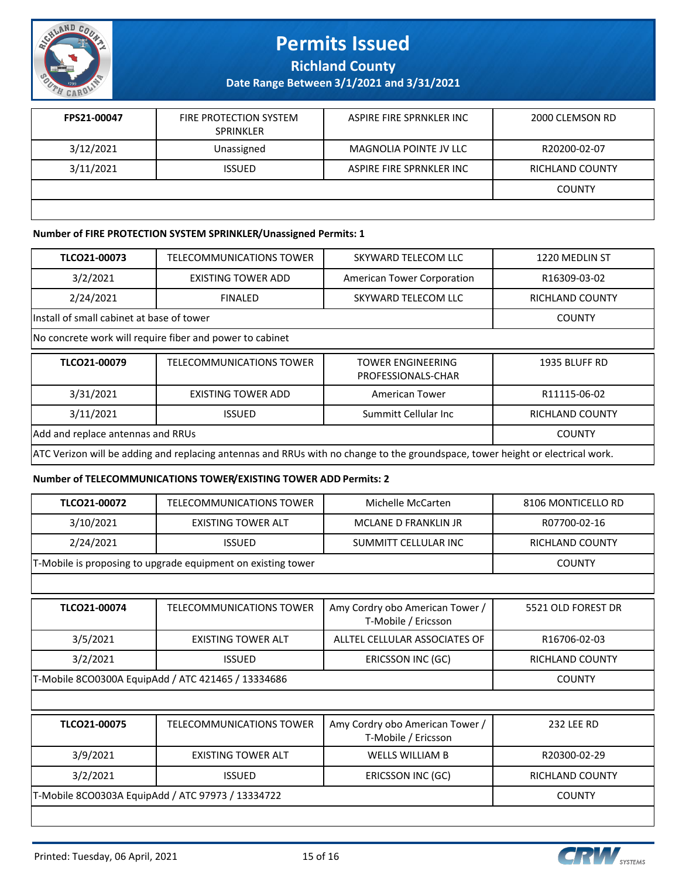

**Richland County**

**Date Range Between 3/1/2021 and 3/31/2021**

| FPS21-00047 | FIRE PROTECTION SYSTEM<br><b>SPRINKLER</b> | ASPIRE FIRE SPRNKLER INC | 2000 CLEMSON RD |
|-------------|--------------------------------------------|--------------------------|-----------------|
| 3/12/2021   | Unassigned                                 | MAGNOLIA POINTE JV LLC   | R20200-02-07    |
| 3/11/2021   | <b>ISSUED</b>                              | ASPIRE FIRE SPRNKLER INC | RICHLAND COUNTY |
|             |                                            |                          | <b>COUNTY</b>   |
|             |                                            |                          |                 |

#### **Number of FIRE PROTECTION SYSTEM SPRINKLER/Unassigned Permits: 1**

| TLCO21-00073                      | <b>TELECOMMUNICATIONS TOWER</b>                            | SKYWARD TELECOM LLC                            | 1220 MEDLIN ST         |  |  |  |
|-----------------------------------|------------------------------------------------------------|------------------------------------------------|------------------------|--|--|--|
| 3/2/2021                          | <b>EXISTING TOWER ADD</b>                                  | American Tower Corporation                     | R16309-03-02           |  |  |  |
| 2/24/2021                         | <b>FINALED</b>                                             | SKYWARD TELECOM LLC                            | <b>RICHLAND COUNTY</b> |  |  |  |
|                                   | Install of small cabinet at base of tower<br><b>COUNTY</b> |                                                |                        |  |  |  |
|                                   | No concrete work will require fiber and power to cabinet   |                                                |                        |  |  |  |
| TLCO21-00079                      | TELECOMMUNICATIONS TOWER                                   | <b>TOWER ENGINEERING</b><br>PROFESSIONALS-CHAR | 1935 BLUFF RD          |  |  |  |
|                                   |                                                            |                                                |                        |  |  |  |
| 3/31/2021                         | <b>EXISTING TOWER ADD</b>                                  | <b>American Tower</b>                          | R11115-06-02           |  |  |  |
| 3/11/2021                         | <b>ISSUED</b>                                              | Summitt Cellular Inc                           | <b>RICHLAND COUNTY</b> |  |  |  |
| Add and replace antennas and RRUs |                                                            |                                                | <b>COUNTY</b>          |  |  |  |

#### **Number of TELECOMMUNICATIONS TOWER/EXISTING TOWER ADD Permits: 2**

| TLCO21-00072                                       | TELECOMMUNICATIONS TOWER                                     | Michelle McCarten                                      | 8106 MONTICELLO RD     |
|----------------------------------------------------|--------------------------------------------------------------|--------------------------------------------------------|------------------------|
| 3/10/2021                                          | <b>EXISTING TOWER ALT</b>                                    | MCLANE D FRANKLIN IR                                   | R07700-02-16           |
| 2/24/2021                                          | <b>ISSUED</b>                                                | SUMMITT CELLULAR INC                                   | <b>RICHLAND COUNTY</b> |
|                                                    | T-Mobile is proposing to upgrade equipment on existing tower |                                                        | <b>COUNTY</b>          |
|                                                    |                                                              |                                                        |                        |
| TLCO21-00074                                       | TELECOMMUNICATIONS TOWER                                     | Amy Cordry obo American Tower /<br>T-Mobile / Ericsson | 5521 OLD FOREST DR     |
| 3/5/2021                                           | <b>EXISTING TOWER ALT</b>                                    | ALLTEL CELLULAR ASSOCIATES OF                          | R16706-02-03           |
| 3/2/2021                                           | <b>ISSUED</b>                                                | ERICSSON INC (GC)                                      | <b>RICHLAND COUNTY</b> |
| T-Mobile 8CO0300A EquipAdd / ATC 421465 / 13334686 | <b>COUNTY</b>                                                |                                                        |                        |
|                                                    |                                                              |                                                        |                        |
| TLCO21-00075                                       | <b>TELECOMMUNICATIONS TOWER</b>                              | Amy Cordry obo American Tower /<br>T-Mobile / Ericsson | <b>232 LEE RD</b>      |
| 3/9/2021                                           | <b>EXISTING TOWER ALT</b>                                    | <b>WELLS WILLIAM B</b>                                 | R20300-02-29           |
| 3/2/2021                                           | <b>ISSUED</b>                                                | ERICSSON INC (GC)                                      | <b>RICHLAND COUNTY</b> |
| T-Mobile 8CO0303A EquipAdd / ATC 97973 / 13334722  | <b>COUNTY</b>                                                |                                                        |                        |